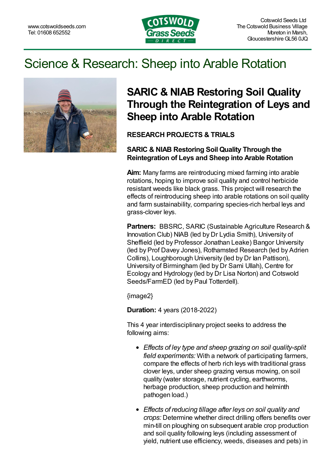

# Science & Research: Sheep into Arable Rotation



## **SARIC & NIAB Restoring Soil Quality Through the Reintegration of Leys and Sheep into Arable Rotation**

### **RESEARCH PROJECTS & TRIALS**

#### **SARIC & NIAB Restoring Soil Quality Through the Reintegration of Leys and Sheep into Arable Rotation**

**Aim:** Many farms are reintroducing mixed farming into arable rotations, hoping to improve soil quality and control herbicide resistant weeds like black grass. This project will research the effects of reintroducing sheep into arable rotations on soil quality and farm sustainability, comparing species-rich herbal leys and grass-clover leys.

**Partners:** BBSRC, SARIC (Sustainable Agriculture Research & Innovation Club) NIAB (led by Dr Lydia Smith), University of Sheffield (led by Professor Jonathan Leake) Bangor University (led by Prof Davey Jones), Rothamsted Research (led by Adrien Collins), Loughborough University (led by Dr Ian Pattison), University of Birmingham (led by Dr Sami Ullah), Centre for Ecology and Hydrology (led by Dr Lisa Norton) and Cotswold Seeds/FarmED (led by Paul Totterdell).

{image2}

**Duration:** 4 years (2018-2022)

This 4 year interdisciplinary project seeks to address the following aims:

- *Effects of ley type and sheep grazing on soil quality-split field experiments:* With a network of participating farmers, compare the effects of herb rich leys with traditional grass clover leys, under sheep grazing versus mowing, on soil quality (water storage, nutrient cycling, earthworms, herbage production, sheep production and helminth pathogen load.)
- *Effects of reducing tillage after leys on soil quality and crops:* Determine whether direct drilling offers benefits over min-till on ploughing on subsequent arable crop production and soil quality following leys (including assessment of yield, nutrient use efficiency, weeds, diseases and pets) in